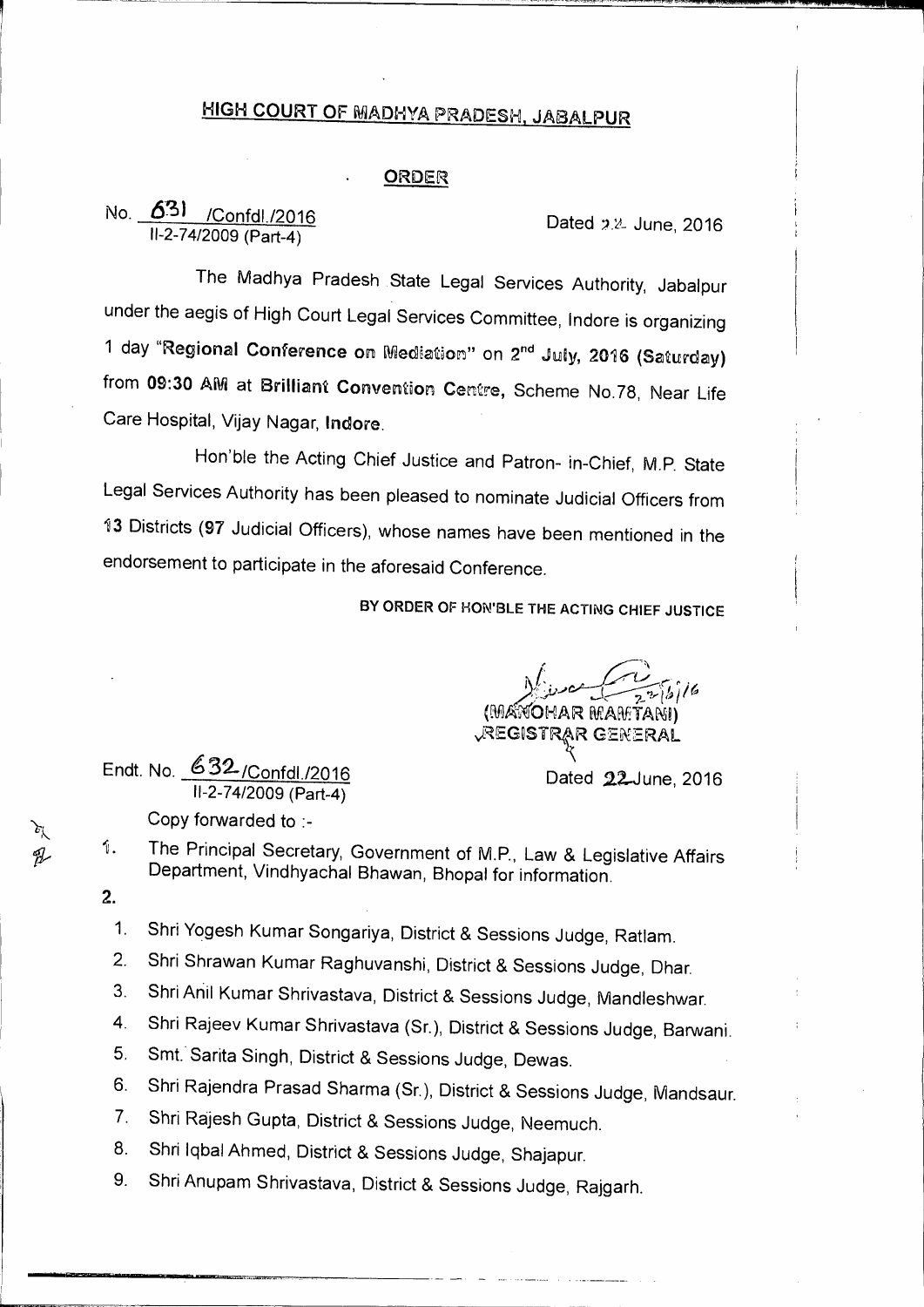## HIGH COURT OF MADHYA PRADESH, JABALPUR

## ORDER

## No.  $\frac{631}{11-2-74/2009}$  /Confdl./2016

The Madhya Pradesh State Legal Services Authority, Jabalpur under the aegis of High Court Legal Services Committee, lndore is organizing 1 day "Regional Conference on Mediation" on 2<sup>nd</sup> July, 2016 (Saturday) from 09:30 AM at Brilliant Convention Centre, Scheme No.78, Near Life Care Hospital, Vijay Nagar, lndore.

Hon'ble the Acting Chief Justice and Patron- in-Chief, M.P. State Legal Services Authority has been pleased to nominate Judicial Officers from 13 Districts (97 Judicial Officers), whose names have been mentioned in the endorsement to participate in the aforesaid Conference.

**BY ORDER OF HON'BLE THE ACTING CHIEF JUSTICE** 

*,e-* • ANOHAR MAMTANI) REGISTRAR GENERAL

Endt. No. 632/Confdl./2016 11-2-74/2009 (Part-4)

Dated 22-June, 2016

Copy forwarded to :-

- 1. The Principal Secretary, Government of M.P., Law & Legislative Affairs Department, Vindhyachal Bhawan, Bhopal for information.
- 2.
	- 1. Shri Yogesh Kumar Songariya, District & Sessions Judge, Ratlam.
	- 2. Shri Shrawan Kumar Raghuvanshi, District & Sessions Judge, Dhar.
	- 3. Shri Anil Kumar Shrivastava, District & Sessions Judge, Niandleshwar.
	- 4. Shri Rajeev Kumar Shrivastava (Sr.), District & Sessions Judge, Barwani.
	- 5. Smt. Sarita Singh, District & Sessions Judge, Dewas.
	- 6. Shri Rajendra Prasad Sharma (Sr.), District & Sessions Judge, Mandsaur.
	- 7. Shri Rajesh Gupta, District & Sessions Judge, Neemuch.
	- 8. Shri lqbal Ahmed, District & Sessions Judge, Shajapur.
	- 9. Shri Anupam Shrivastava, District & Sessions Judge, Rajgarh.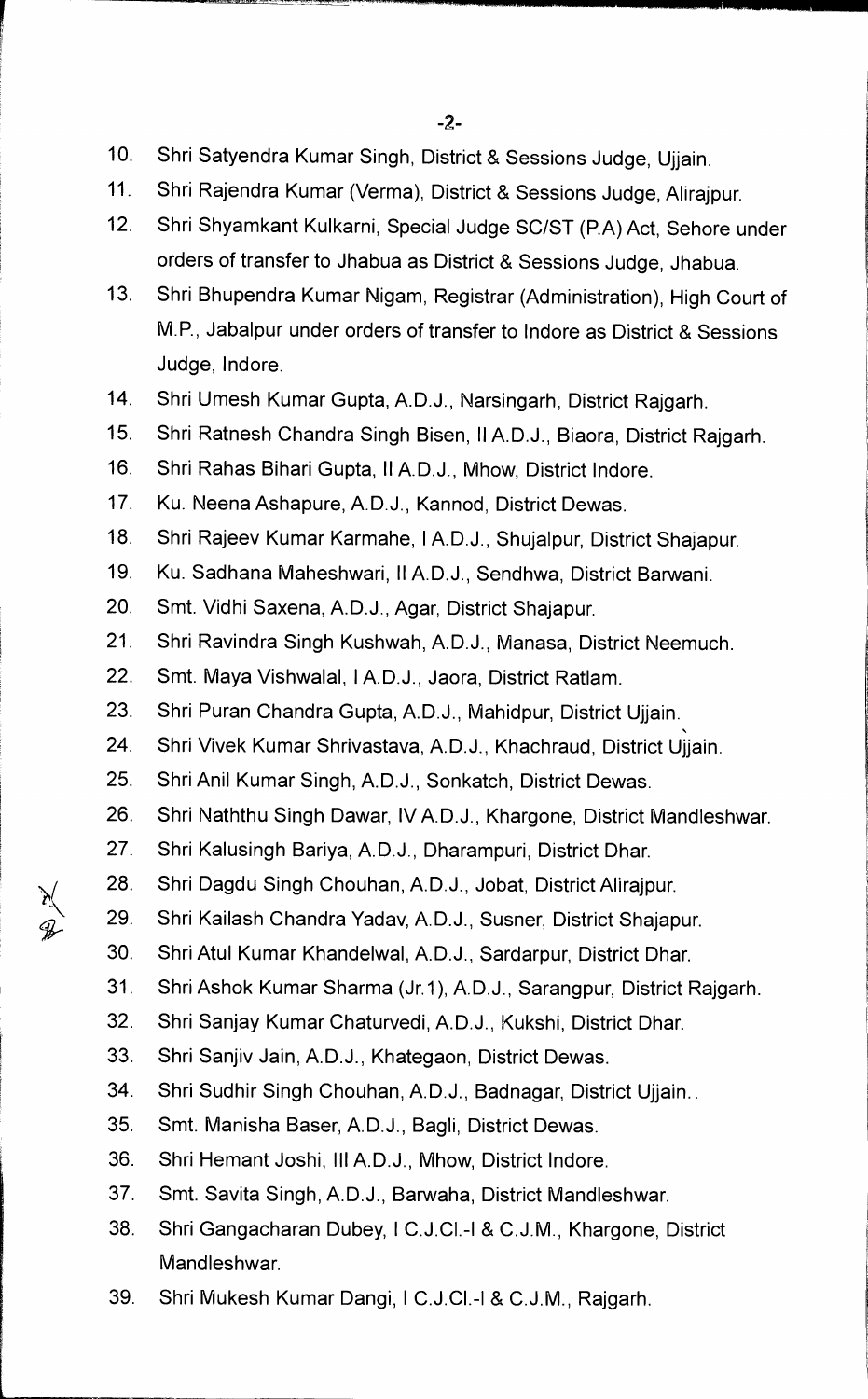- **10. Shri Satyendra Kumar Singh, District & Sessions Judge, Ujjain.**
- **11. Shri Rajendra Kumar (Verma), District & Sessions Judge, Alirajpur.**
- **12. Shri Shyamkant Kulkarni, Special Judge SC/ST (P.A) Act, Sehore under orders of transfer to Jhabua as District & Sessions Judge, Jhabua.**
- **13. Shri Bhupendra Kumar Nigam, Registrar (Administration), High Court of M.P., Jabalpur under orders of transfer to Indore as District & Sessions Judge, Indore.**
- **14. Shri Umesh Kumar Gupta, A.D.J., Narsingarh, District Rajgarh.**
- **15. Shri Ratnesh Chandra Singh Bisen, II A.D.J., Biaora, District Rajgarh.**
- **16. Shri Rahas Bihari Gupta, II A.D.J., Mhow, District Indore.**
- **17. Ku. Neena Ashapure, A.D.J., Kannod, District Dewas.**
- **18. Shri Rajeev Kumar Karmahe, I A.D.J., Shujalpur, District Shajapur.**
- **19. Ku. Sadhana Maheshwari, II A.D.J., Sendhwa, District Barwani.**
- **20. Smt. Vidhi Saxena, A.D.J., Agar, District Shajapur.**
- **21. Shri Ravindra Singh Kushwah, A.D.J., Manasa, District Neemuch.**
- **22. Smt. Maya Vishwalal, I A.D.J., Jaora, District Ratlam.**
- **23. Shri Puran Chandra Gupta, A.D.J., Mahidpur, District Ujjain.**
- **24. Shri Vivek Kumar Shrivastava, A.D.J., Khachraud, District Ujjain.**
- **25. Shri Anil Kumar Singh, A.D.J., Sonkatch, District Dewas.**
- **26. Shri Naththu Singh Dawar, IV A.D.J., Khargone, District Mandleshwar.**
- **27. Shri Kalusingh Bariya, A.D.J., Dharampuri, District Dhar.**
- **28. Shri Dagdu Singh Chouhan, A.D.J., Jobat, District Alirajpur.**
- **29. Shri Kailash Chandra Yadav, A.D.J., Susner, District Shajapur.**
- **30. Shri Atul Kumar Khandelwal, A.D.J., Sardarpur, District Dhar.**
- **31. Shri Ashok Kumar Sharma (Jr.1), A.D.J., Sarangpur, District Rajgarh.**
- **32. Shri Sanjay Kumar Chaturvedi, A.D.J., Kukshi, District Dhar.**
- **33. Shri Sanjiv Jain, A.D.J., Khategaon, District Dewas.**
- **34. Shri Sudhir Singh Chouhan, A.D.J., Badnagar, District Ujjain..**
- **35. Smt. Manisha Baser, A.D.J., Bagli, District Dewas.**
- **36. Shri Hemant Joshi, Ill A.D.J., Mhow, District Indore.**
- **37. Smt. Savita Singh, A.D.J., Barwaha, District Mandleshwar.**
- **38. Shri Gangacharan Dubey, I C.J.C1.-I & C.J.M., Khargone, District Mandleshwar.**
- **39. Shri Mukesh Kumar Dangi, I C.J.CI.-1 & C.J.M., Rajgarh.**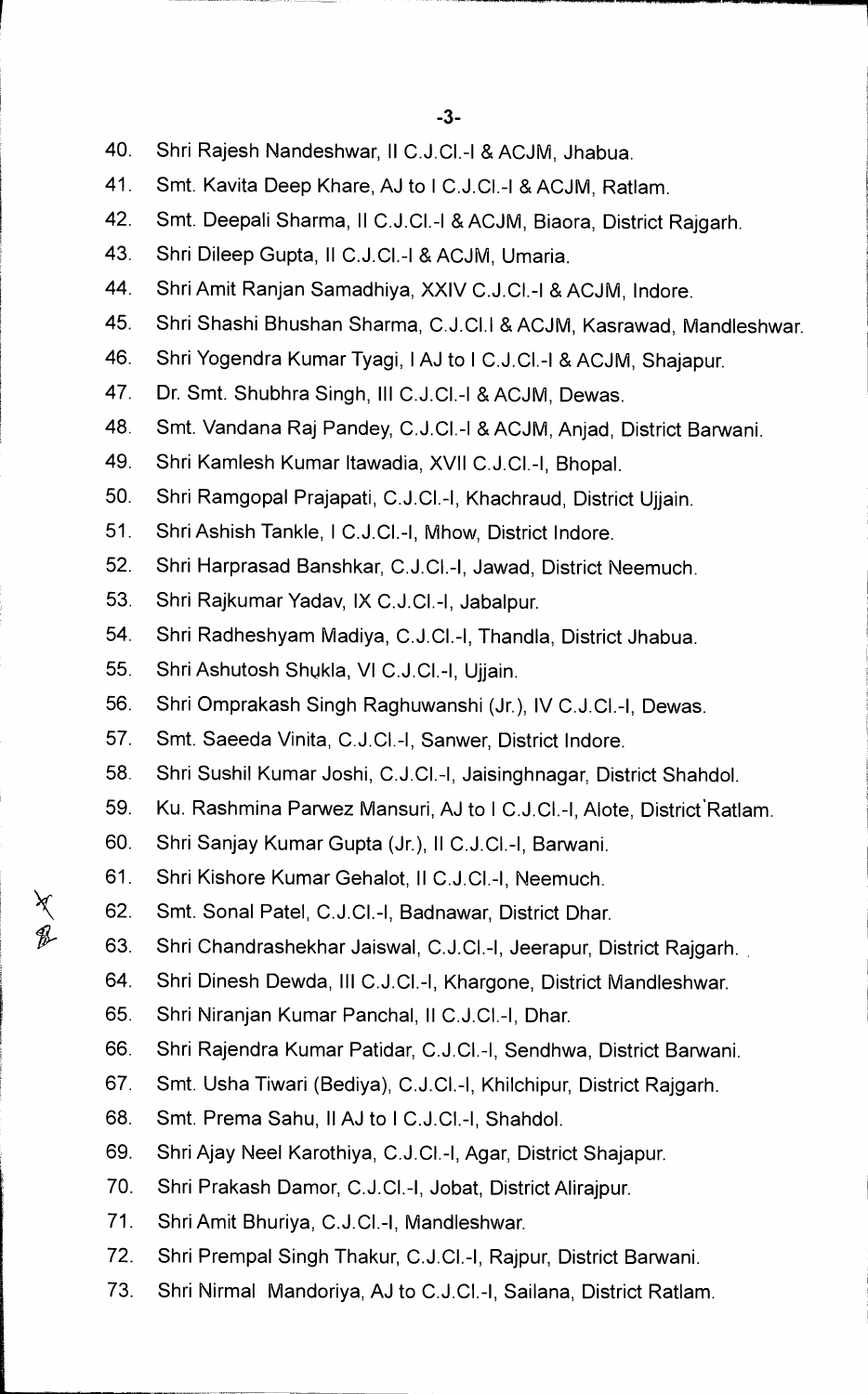- 40. Shri Rajesh Nandeshwar, II C.J.C1.-I & ACJM, Jhabua.
- 41. Smt. Kavita Deep Khare, AJ to 1 C.J.C1.-I & ACJM, Ratlam.
- 42. Smt. Deepali Sharma, 11 C.J.C1.-I & ACJM, Biaora, District Rajgarh.
- 43. Shri Dileep Gupta, 11 C.J.C1.-I & ACJM, Umaria.
- 44. Shri Amit Ranjan Samadhiya, XXIV C.J.C1.-I & ACJM, Indore.
- 45. Shri Shashi Bhushan Sharma, C.J.CI.1& ACJM, Kasrawad, Mandleshwar.
- 46. Shri Yogendra Kumar Tyagi, 1AJ to 1 C.J.C1.-I & ACJM, Shajapur.
- 47. Dr. Smt. Shubhra Singh, III C.J.CI.-I & ACJM, Dewas.
- 48. Smt. Vandana Raj Pandey, C.J.C1.-I & ACJM, Anjad, District Barwani.
- 49. Shri Kamlesh Kumar ltawadia, XVII C.J.C1.-I, Bhopal.
- 50. Shri Ramgopal Prajapati, C.J.C1.-I, Khachraud, District Ujjain.
- 51. Shri Ashish Tankle, 1 C.J.C1.-I, Mhow, District Indore.
- 52. Shri Harprasad Banshkar, C.J.C1.-I, Jawad, District Neemuch.
- 53. Shri Rajkumar Yadav, IX C.J.C1.-I, Jabalpur.
- 54. Shri Radheshyam Madiya, C.J.C1.-I, Thandla, District Jhabua.
- 55. Shri Ashutosh Shukla, VI C.J.C1.-I, Ujjain.
- 56. Shri Omprakash Singh Raghuwanshi (Jr.), IV C.J.C1.-I, Dewas.
- 57. Smt. Saeeda Vinita, C.J.C1.-I, Sanwer, District Indore.
- 58. Shri Sushil Kumar Joshi, C.J.C1.-I, Jaisinghnagar, District Shahdol.
- 59. Ku. Rashmina Parwez Mansuri, AJ to I C.J.Cl.-I, Alote, District Ratlam.
- 60. Shri Sanjay Kumar Gupta (Jr.), II C.J.C1.-I, Barwani.
- 61. Shri Kishore Kumar Gehalot, 11 C.J.C1.-I, Neemuch.
- 62. Smt. Sonal Patel, C.J.C1.-I, Badnawar, District Dhar.
- 63. Shri Chandrashekhar Jaiswal, C.J.C1.-I, Jeerapur, District Rajgarh.
- 64. Shri Dinesh Dewda, III C.J.C1.-I, Khargone, District Mandleshwar.
- 65. Shri Niranjan Kumar Panchal, 11 C.J.C1.-I, Dhar.
- 66. Shri Rajendra Kumar Patidar, C.J.C1.-I, Sendhwa, District Barwani.
- 67. Smt. Usha Tiwari (Bediya), C.J.C1.-I, Khilchipur, District Rajgarh.
- 68. Smt. Prema Sahu, II AJ to 1 C.J.C1.-I, Shahdol.
- 69. Shri Ajay Neel Karothiya, C.J.C1.-I, Agar, District Shajapur.
- 70. Shri Prakash Damor, C.J.C1.-I, Jobat, District Alirajpur.
- 71. Shri Amit Bhuriya, C.J.C1.-I, Mandleshwar.
- 72. Shri Prempal Singh Thakur, C.J.C1.-I, Rajpur, District Barwani.
- 73. Shri Nirmal Mandoriya, AJ to C.J.C1.-I, Sailana, District Ratlam.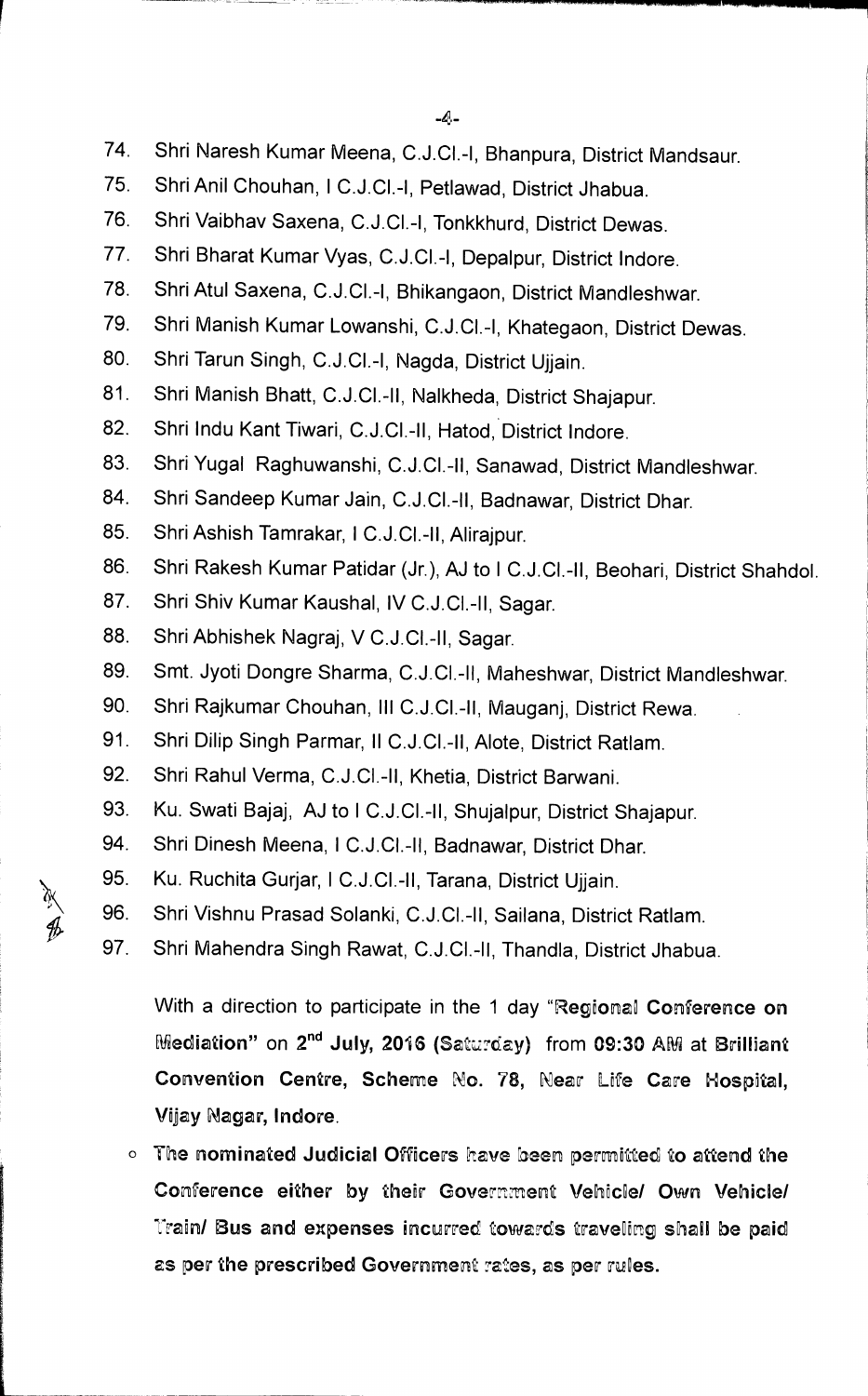- 74. Shri Naresh Kumar Meena, C.J.C1.-I, Bhanpura, District Mandsaur.
- 75. Shri Anil Chouhan, 1 C.J.C1.-I, Petlawad, District Jhabua.
- 76. Shri Vaibhav Saxena, C.J.C1.-I, Tonkkhurd, District Dewas.
- 77. Shri Bharat Kumar Vyas, C.J.C1.-I, Depalpur, District Indore.
- 78. Shri Atul Saxena, C.J.C1.-I, Bhikangaon, District Mandleshwar.
- 79. Shri Manish Kumar Lowanshi, C.J.C1.-I, Khategaon, District Dewas.
- 80. Shri Tarun Singh, C.J.C1.-I, Nagda, District Ujjain.
- 81. Shri Manish Bhatt, C.J.C1.-II, Nalkheda, District Shajapur.
- 82. Shri Indu Kant Tiwari, C.J.CI.-II, Hatod, District Indore.
- 83. Shri Yugal Raghuwanshi, C.J.CI.-11, Sanawad, District Mandleshwar.
- 84. Shri Sandeep Kumar Jain, C.J.CI.-11, Badnawar, District Dhar.
- 85. Shri Ashish Tamrakar, **I** C.J.C1.-II, Alirajpur.
- 86. Shri Rakesh Kumar Patidar (Jr.), AJ to 1 C.J.C1.-II, Beohari, District Shahdol.
- 87. Shri Shiv Kumar Kaushal, IV C.J.C1.-11, Sagar.
- 88. Shri Abhishek Nagraj, V C.J.C1.-11, Sagar.
- 89. Smt. Jyoti Dongre Sharma, C.J.C1.-11, Maheshwar, District Mandleshwar.
- 90. Shri Rajkumar Chouhan, III C.J.CI.-11, Mauganj, District Rewa.
- 91. Shri Dilip Singh Parmar, II C.J.Cl.-II, Alote, District Ratlam.
- 92. Shri Rahul Verma, C.J.C1.-11, Khetia, District Barwani.
- 93. Ku. Swati Bajaj, AJ to I C.J.Cl.-II, Shujalpur, District Shajapur.
- 94. Shri Dinesh Meena, 1 C.J.CI.-11, Badnawar, District Dhar.
- 95. Ku. Ruchita Gurjar, 1 C.J.CI.-11, Tarana, District Ujjain.
- 96. Shri Vishnu Prasad Solanki, C.J.Cl.-II, Sailana, District Ratlam.
- 97. Shri Mahendra Singh Rawat, C.J.C1.-11, Thandla, District Jhabua.

With a direction to participate in the 1 day **"Regionaa Conference on Mediation" on 2<sup>nd</sup> July, 2016 (Saturday) from 09:30 AM at Brilliant Convention Centre, Scheme No. 78, Near Life Care Hospital, Vijay Nagar, Indore.** 

**<b>0** The nominated Judicial Officers have been permitted to attend the Conference either by their Government Vehicle/ Own Vehicle/ **<sup>7</sup>:rain/ Bus and expenses incurred towards trav&ing shall be paid**  as per the prescribed Government rates, as per rules.